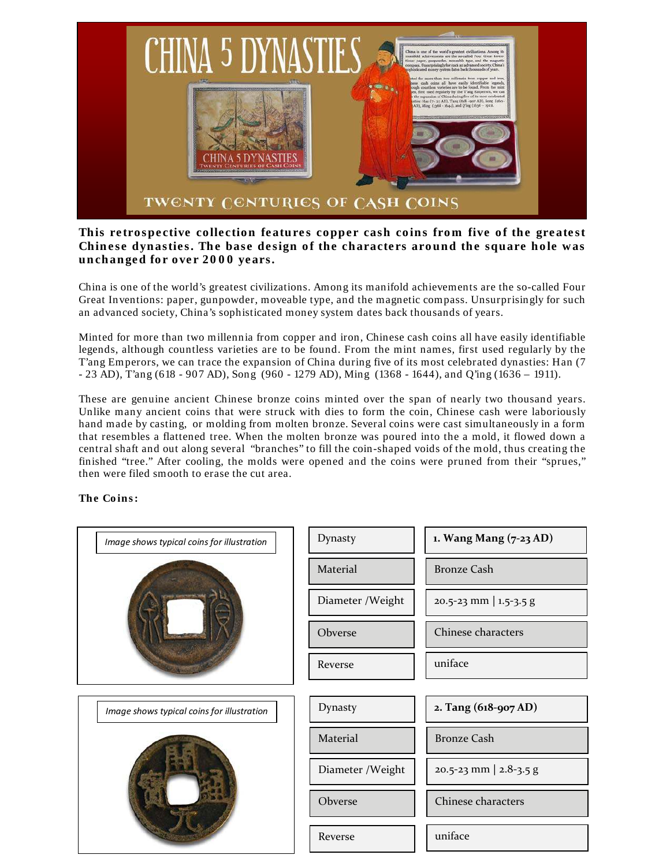

## This retrospective collection features copper cash coins from five of the greatest Chinese dynasties. The base design of the characters around the square hole was unchanged for over 2000 years.

China is one of the world's greatest civilizations. Among its manifold achievements are the so-called Four Great Inventions: paper, gunpowder, moveable type, and the magnetic compass. Unsurprisingly for such an advanced society, China's sophisticated money system dates back thousands of years.

Minted for more than two millennia from copper and iron, Chinese cash coins all have easily identifiable legends, although countless varieties are to be found. From the mint names, first used regularly by the T'ang Emperors, we can trace the expansion of China during five of its most celebrated dynasties: Han (7 - 23 AD), T'ang (618 - 907 AD), Song (960 - 1279 AD), Ming (1368 - 1644), and Q'ing (1636 – 1911).

These are genuine ancient Chinese bronze coins minted over the span of nearly two thousand years. Unlike many ancient coins that were struck with dies to form the coin, Chinese cash were laboriously hand made by casting, or molding from molten bronze. Several coins were cast simultaneously in a form that resembles a flattened tree. When the molten bronze was poured into the a mold, it flowed down a central shaft and out along several "branches" to fill the coin-shaped voids of the mold, thus creating the finished "tree." After cooling, the molds were opened and the coins were pruned from their "sprues," then were filed smooth to erase the cut area.

## **The Coins:**

| Image shows typical coins for illustration | Dynasty           | 1. Wang Mang (7-23 AD)         |
|--------------------------------------------|-------------------|--------------------------------|
|                                            | Material          | <b>Bronze Cash</b>             |
|                                            | Diameter / Weight | 20.5-23 mm   1.5-3.5 g         |
|                                            | Obverse           | Chinese characters             |
|                                            | Reverse           | uniface                        |
|                                            |                   |                                |
| Image shows typical coins for illustration | Dynasty           | 2. Tang (618-907 AD)           |
|                                            | Material          | <b>Bronze Cash</b>             |
|                                            | Diameter / Weight | $20.5 - 23$ mm   $2.8 - 3.5$ g |
|                                            | Obverse           | Chinese characters             |
|                                            | Reverse           | uniface                        |